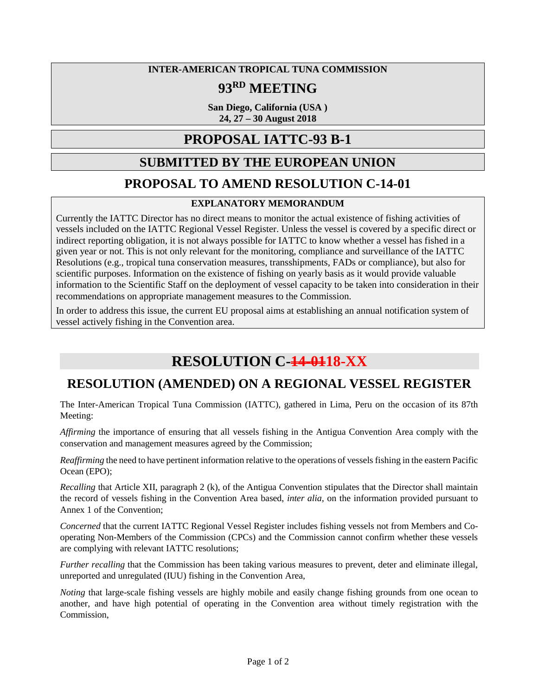#### **INTER-AMERICAN TROPICAL TUNA COMMISSION**

## **93RD MEETING**

**San Diego, California (USA ) 24, 27 – 30 August 2018**

#### **PROPOSAL IATTC-93 B-1**

### **SUBMITTED BY THE EUROPEAN UNION**

#### **PROPOSAL TO AMEND RESOLUTION C-14-01**

#### **EXPLANATORY MEMORANDUM**

Currently the IATTC Director has no direct means to monitor the actual existence of fishing activities of vessels included on the IATTC Regional Vessel Register. Unless the vessel is covered by a specific direct or indirect reporting obligation, it is not always possible for IATTC to know whether a vessel has fished in a given year or not. This is not only relevant for the monitoring, compliance and surveillance of the IATTC Resolutions (e.g., tropical tuna conservation measures, transshipments, FADs or compliance), but also for scientific purposes. Information on the existence of fishing on yearly basis as it would provide valuable information to the Scientific Staff on the deployment of vessel capacity to be taken into consideration in their recommendations on appropriate management measures to the Commission.

In order to address this issue, the current EU proposal aims at establishing an annual notification system of vessel actively fishing in the Convention area.

# **RESOLUTION C-14-0118-XX**

## **RESOLUTION (AMENDED) ON A REGIONAL VESSEL REGISTER**

The Inter-American Tropical Tuna Commission (IATTC), gathered in Lima, Peru on the occasion of its 87th Meeting:

*Affirming* the importance of ensuring that all vessels fishing in the Antigua Convention Area comply with the conservation and management measures agreed by the Commission;

*Reaffirming* the need to have pertinent information relative to the operations of vessels fishing in the eastern Pacific Ocean (EPO);

*Recalling* that Article XII, paragraph 2 (k), of the Antigua Convention stipulates that the Director shall maintain the record of vessels fishing in the Convention Area based, *inter alia,* on the information provided pursuant to Annex 1 of the Convention;

*Concerned* that the current IATTC Regional Vessel Register includes fishing vessels not from Members and Cooperating Non-Members of the Commission (CPCs) and the Commission cannot confirm whether these vessels are complying with relevant IATTC resolutions;

*Further recalling* that the Commission has been taking various measures to prevent, deter and eliminate illegal, unreported and unregulated (IUU) fishing in the Convention Area,

*Noting* that large-scale fishing vessels are highly mobile and easily change fishing grounds from one ocean to another, and have high potential of operating in the Convention area without timely registration with the Commission,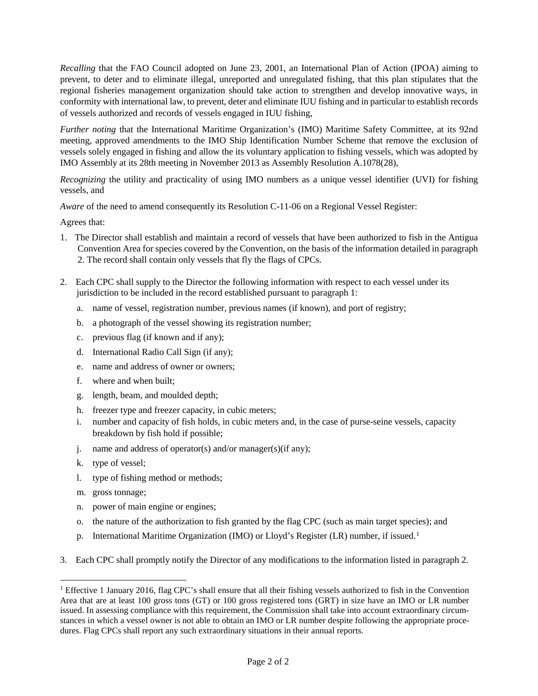*Recalling* that the FAO Council adopted on June 23, 2001, an International Plan of Action (IPOA) aiming to prevent, to deter and to eliminate illegal, unreported and unregulated fishing, that this plan stipulates that the regional fisheries management organization should take action to strengthen and develop innovative ways, in conformity with international law, to prevent, deter and eliminate IUU fishing and in particular to establish records of vessels authorized and records of vessels engaged in IUU fishing,

*Further noting* that the International Maritime Organization's (IMO) Maritime Safety Committee, at its 92nd meeting, approved amendments to the IMO Ship Identification Number Scheme that remove the exclusion of vessels solely engaged in fishing and allow the its voluntary application to fishing vessels, which was adopted by IMO Assembly at its 28th meeting in November 2013 as Assembly Resolution A.1078(28),

*Recognizing* the utility and practicality of using IMO numbers as a unique vessel identifier (UVI) for fishing vessels, and

*Aware* of the need to amend consequently its Resolution C-11-06 on a Regional Vessel Register:

Agrees that:

- 1. The Director shall establish and maintain a record of vessels that have been authorized to fish in the Antigua Convention Area for species covered by the Convention, on the basis of the information detailed in paragraph 2. The record shall contain only vessels that fly the flags of CPCs.
- 2. Each CPC shall supply to the Director the following information with respect to each vessel under its jurisdiction to be included in the record established pursuant to paragraph 1:
	- a. name of vessel, registration number, previous names (if known), and port of registry;
	- b. a photograph of the vessel showing its registration number;
	- c. previous flag (if known and if any);
	- d. International Radio Call Sign (if any);
	- e. name and address of owner or owners;
	- f. where and when built;
	- g. length, beam, and moulded depth;
	- h. freezer type and freezer capacity, in cubic meters;
	- i. number and capacity of fish holds, in cubic meters and, in the case of purse-seine vessels, capacity breakdown by fish hold if possible;
	- j. name and address of operator(s) and/or manager(s)(if any);
	- k. type of vessel;
	- l. type of fishing method or methods;
	- m. gross tonnage;
	- n. power of main engine or engines;
	- o. the nature of the authorization to fish granted by the flag CPC (such as main target species); and
	- p. International Maritime Organization (IMO) or Lloyd's Register (LR) number, if issued.<sup>1</sup>
- 3. Each CPC shall promptly notify the Director of any modifications to the information listed in paragraph 2.

<span id="page-1-1"></span><span id="page-1-0"></span><sup>&</sup>lt;sup>1</sup> Effective 1 January 2016, flag CPC's shall ensure that all their fishing vessels authorized to fish in the Convention Area that are at least 100 gross tons (GT) or 100 gross registered tons (GRT) in size have an IMO or LR number issued. In assessing compliance with this requirement, the Commission shall take into account extraordinary circumstances in which a vessel owner is not able to obtain an IMO or LR number despite following the appropriate procedures. Flag CPCs shall report any such extraordinary situations in their annual reports.